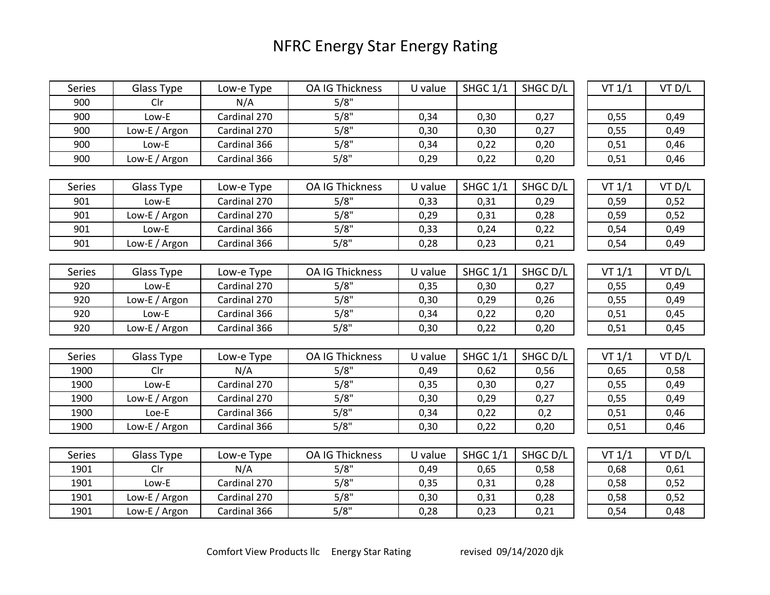## NFRC Energy Star Energy Rating

| Series | Glass Type    | Low-e Type   | OA IG Thickness        | U value | <b>SHGC 1/1</b> | SHGC D/L | VT 1/1 | VT D/L |
|--------|---------------|--------------|------------------------|---------|-----------------|----------|--------|--------|
| 900    | Clr           | N/A          | 5/8"                   |         |                 |          |        |        |
| 900    | Low-E         | Cardinal 270 | 5/8"                   | 0,34    | 0,30            | 0,27     | 0,55   | 0,49   |
| 900    | Low-E / Argon | Cardinal 270 | 5/8"                   | 0,30    | 0,30            | 0,27     | 0,55   | 0,49   |
| 900    | Low-E         | Cardinal 366 | 5/8"                   | 0,34    | 0,22            | 0,20     | 0,51   | 0,46   |
| 900    | Low-E / Argon | Cardinal 366 | 5/8"                   | 0,29    | 0,22            | 0,20     | 0,51   | 0,46   |
|        |               |              |                        |         |                 |          |        |        |
| Series | Glass Type    | Low-e Type   | <b>OA IG Thickness</b> | U value | <b>SHGC 1/1</b> | SHGC D/L | VT 1/1 | VT D/L |
| 901    | Low-E         | Cardinal 270 | 5/8"                   | 0,33    | 0,31            | 0,29     | 0,59   | 0,52   |
| 901    | Low-E / Argon | Cardinal 270 | 5/8"                   | 0,29    | 0,31            | 0,28     | 0,59   | 0,52   |
| 901    | Low-E         | Cardinal 366 | 5/8"                   | 0,33    | 0,24            | 0,22     | 0,54   | 0,49   |
| 901    | Low-E / Argon | Cardinal 366 | 5/8"                   | 0,28    | 0,23            | 0,21     | 0,54   | 0,49   |
|        |               |              |                        |         |                 |          |        |        |
| Series | Glass Type    | Low-e Type   | <b>OA IG Thickness</b> | U value | <b>SHGC 1/1</b> | SHGC D/L | VT 1/1 | VT D/L |
| 920    | Low-E         | Cardinal 270 | 5/8"                   | 0,35    | 0,30            | 0,27     | 0,55   | 0,49   |
| 920    | Low-E / Argon | Cardinal 270 | 5/8"                   | 0,30    | 0,29            | 0,26     | 0,55   | 0,49   |
| 920    | Low-E         | Cardinal 366 | 5/8"                   | 0,34    | 0,22            | 0,20     | 0,51   | 0,45   |
| 920    | Low-E / Argon | Cardinal 366 | 5/8"                   | 0,30    | 0,22            | 0,20     | 0,51   | 0,45   |
|        |               |              |                        |         |                 |          |        |        |
| Series | Glass Type    | Low-e Type   | OA IG Thickness        | U value | <b>SHGC 1/1</b> | SHGC D/L | VT 1/1 | VT D/L |
| 1900   | Clr           | N/A          | 5/8"                   | 0,49    | 0,62            | 0,56     | 0,65   | 0,58   |
| 1900   | Low-E         | Cardinal 270 | 5/8"                   | 0,35    | 0,30            | 0,27     | 0,55   | 0,49   |
| 1900   | Low-E / Argon | Cardinal 270 | 5/8"                   | 0,30    | 0,29            | 0,27     | 0,55   | 0,49   |
| 1900   | Loe-E         | Cardinal 366 | 5/8"                   | 0,34    | 0,22            | 0,2      | 0,51   | 0,46   |
| 1900   | Low-E / Argon | Cardinal 366 | 5/8"                   | 0,30    | 0,22            | 0,20     | 0,51   | 0,46   |
|        |               |              |                        |         |                 |          |        |        |
| Series | Glass Type    | Low-e Type   | <b>OA IG Thickness</b> | U value | <b>SHGC 1/1</b> | SHGC D/L | VT 1/1 | VT D/L |
| 1901   | Clr           | N/A          | 5/8"                   | 0,49    | 0,65            | 0,58     | 0,68   | 0,61   |
| 1901   | Low-E         | Cardinal 270 | 5/8"                   | 0,35    | 0,31            | 0,28     | 0,58   | 0,52   |
| 1901   | Low-E / Argon | Cardinal 270 | 5/8"                   | 0,30    | 0,31            | 0,28     | 0,58   | 0,52   |
| 1901   | Low-E / Argon | Cardinal 366 | 5/8"                   | 0,28    | 0,23            | 0,21     | 0,54   | 0,48   |